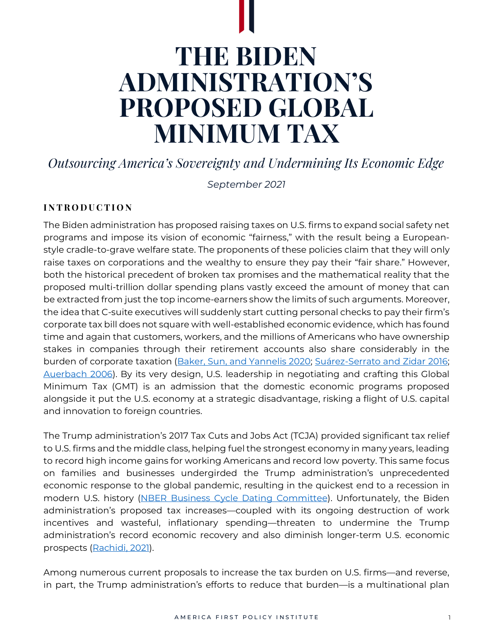# **THE BIDEN ADMINISTRATION'S PROPOSED GLOBAL MINIMUM TAX**

*Outsourcing America's Sovereignty and Undermining Its Economic Edge*

*September 2021*

## **I N T R O D U C T I O N**

The Biden administration has proposed raising taxes on U.S. firms to expand social safety net programs and impose its vision of economic "fairness," with the result being a Europeanstyle cradle-to-grave welfare state. The proponents of these policies claim that they will only raise taxes on corporations and the wealthy to ensure they pay their "fair share." However, both the historical precedent of broken tax promises and the mathematical reality that the proposed multi-trillion dollar spending plans vastly exceed the amount of money that can be extracted from just the top income-earners show the limits of such arguments. Moreover, the idea that C-suite executives will suddenly start cutting personal checks to pay their firm's corporate tax bill does not square with well-established economic evidence, which has found time and again that customers, workers, and the millions of Americans who have ownership stakes in companies through their retirement accounts also share considerably in the burden of corporate taxation (Baker, Sun, and [Yannelis](https://www.nber.org/papers/w27058) 2020; [Suárez-Serrato](https://www.aeaweb.org/articles?id=10.1257/aer.20141702) and Zidar 2016; [Auerbach](https://www.journals.uchicago.edu/doi/abs/10.1086/tpe.20.20061903) 2006). By its very design, U.S. leadership in negotiating and crafting this Global Minimum Tax (GMT) is an admission that the domestic economic programs proposed alongside it put the U.S. economy at a strategic disadvantage, risking a flight of U.S. capital and innovation to foreign countries.

The Trump administration's 2017 Tax Cuts and Jobs Act (TCJA) provided significant tax relief to U.S. firms and the middle class, helping fuel the strongest economy in many years, leading to record high income gains for working Americans and record low poverty. This same focus on families and businesses undergirded the Trump administration's unprecedented economic response to the global pandemic, resulting in the quickest end to a recession in modern U.S. history (NBER Business Cycle Dating [Committee\)](https://www.nber.org/research/data/us-business-cycle-expansions-and-contractions). Unfortunately, the Biden administration's proposed tax increases—coupled with its ongoing destruction of work incentives and wasteful, inflationary spending—threaten to undermine the Trump administration's record economic recovery and also diminish longer-term U.S. economic prospects [\(Rachidi,](https://www.aei.org/wp-content/uploads/2021/09/Implications-of-the-Fiscal-Year-2022-Budget-Resolution-on-Family-and-Safety-Net-Policy.pdf?x91208) 2021).

Among numerous current proposals to increase the tax burden on U.S. firms—and reverse, in part, the Trump administration's efforts to reduce that burden—is a multinational plan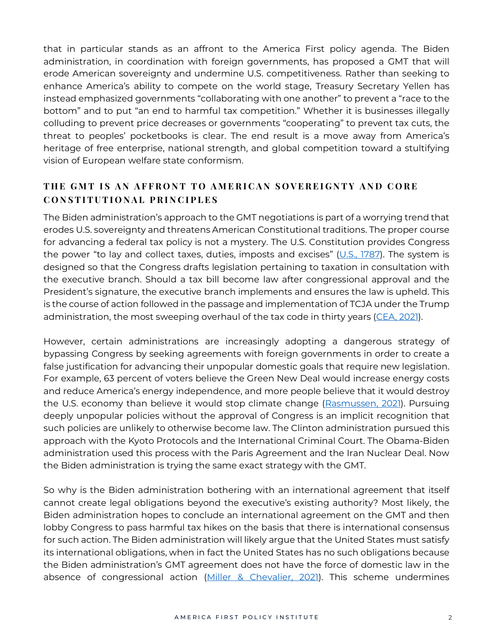that in particular stands as an affront to the America First policy agenda. The Biden administration, in coordination with foreign governments, has proposed a GMT that will erode American sovereignty and undermine U.S. competitiveness. Rather than seeking to enhance America's ability to compete on the world stage, Treasury Secretary Yellen has instead emphasized governments "collaborating with one another" to prevent a "race to the bottom" and to put "an end to harmful tax competition." Whether it is businesses illegally colluding to prevent price decreases or governments "cooperating" to prevent tax cuts, the threat to peoples' pocketbooks is clear. The end result is a move away from America's heritage of free enterprise, national strength, and global competition toward a stultifying vision of European welfare state conformism.

# **T H E G M T I S A N A F F R O N T T O A M E R I C A N S O V E R E I G N T Y A N D C O R E C O N S T I T U T I O N A L P R I N C I P L E S**

The Biden administration's approach to the GMT negotiations is part of a worrying trend that erodes U.S. sovereignty and threatens American Constitutional traditions. The proper course for advancing a federal tax policy is not a mystery. The U.S. Constitution provides Congress the power "to lay and collect taxes, duties, imposts and excises"  $(U.S., 1787)$  $(U.S., 1787)$ . The system is designed so that the Congress drafts legislation pertaining to taxation in consultation with the executive branch. Should a tax bill become law after congressional approval and the President's signature, the executive branch implements and ensures the law is upheld. This is the course of action followed in the passage and implementation of TCJA under the Trump administration, the most sweeping overhaul of the tax code in thirty years [\(CEA,](https://www.govinfo.gov/content/pkg/ERP-2021/pdf/ERP-2021.pdf) 2021).

However, certain administrations are increasingly adopting a dangerous strategy of bypassing Congress by seeking agreements with foreign governments in order to create a false justification for advancing their unpopular domestic goals that require new legislation. For example, 63 percent of voters believe the Green New Deal would increase energy costs and reduce America's energy independence, and more people believe that it would destroy the U.S. economy than believe it would stop climate change [\(Rasmussen,](https://scottrasmussen.com/most-believe-green-new-deal-will-increase-energy-costs-and-reduce-americas-energy-independence/?utm_medium=email&utm_campaign=Polling%20Update%20August%2016%202021&utm_content=Polling%20Update%20August%2016%202021+CID_dbd439b4a6964a4fa1d8ae9a56fb322d&utm_source=Email%20marketing%20software%20MSAZenSendv3&utm_term=53%20believe%20the%20Green%20New%20Deal%20will%20end%20American%20energy%20independence) 2021). Pursuing deeply unpopular policies without the approval of Congress is an implicit recognition that such policies are unlikely to otherwise become law. The Clinton administration pursued this approach with the Kyoto Protocols and the International Criminal Court. The Obama-Biden administration used this process with the Paris Agreement and the Iran Nuclear Deal. Now the Biden administration is trying the same exact strategy with the GMT.

So why is the Biden administration bothering with an international agreement that itself cannot create legal obligations beyond the executive's existing authority? Most likely, the Biden administration hopes to conclude an international agreement on the GMT and then lobby Congress to pass harmful tax hikes on the basis that there is international consensus for such action. The Biden administration will likely argue that the United States must satisfy its international obligations, when in fact the United States has no such obligations because the Biden administration's GMT agreement does not have the force of domestic law in the absence of congressional action (Miller & [Chevalier,](https://www.millerchevalier.com/publication/tax-take-oecd-gilti-charged) 2021). This scheme undermines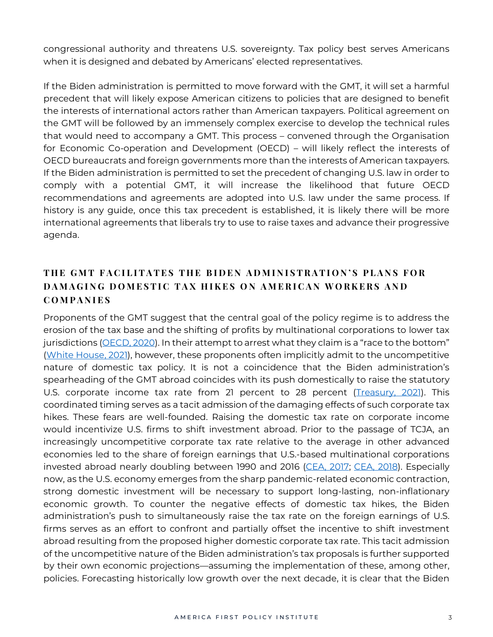congressional authority and threatens U.S. sovereignty. Tax policy best serves Americans when it is designed and debated by Americans' elected representatives.

If the Biden administration is permitted to move forward with the GMT, it will set a harmful precedent that will likely expose American citizens to policies that are designed to benefit the interests of international actors rather than American taxpayers. Political agreement on the GMT will be followed by an immensely complex exercise to develop the technical rules that would need to accompany a GMT. This process – convened through the Organisation for Economic Co-operation and Development (OECD) – will likely reflect the interests of OECD bureaucrats and foreign governments more than the interests of American taxpayers. If the Biden administration is permitted to set the precedent of changing U.S. law in order to comply with a potential GMT, it will increase the likelihood that future OECD recommendations and agreements are adopted into U.S. law under the same process. If history is any guide, once this tax precedent is established, it is likely there will be more international agreements that liberals try to use to raise taxes and advance their progressive agenda.

# **T H E G M T F A C I L I T A T E S T H E B I D E N A D M I N I S T R A T I O N ' S P L A N S F O R D A M A G I N G D O M E S T I C T A X H I K E S O N A M E R I C A N W O R K E R S A N D C O M P A N I E S**

Proponents of the GMT suggest that the central goal of the policy regime is to address the erosion of the tax base and the shifting of profits by multinational corporations to lower tax jurisdictions [\(OECD,](https://www.oecd.org/tax/beps/international-community-renews-commitment-to-address-tax-challenges-from-digitalisation-of-the-economy.htm) 2020). In their attempt to arrest what they claim is a "race to the bottom" (White [House,](https://www.whitehouse.gov/briefing-room/statements-releases/2021/06/11/fact-sheet-president-biden-and-g7-leaders-to-announce-steps-to-forge-a-more-fair-and-inclusive-global-economy/) 2021), however, these proponents often implicitly admit to the uncompetitive nature of domestic tax policy. It is not a coincidence that the Biden administration's spearheading of the GMT abroad coincides with its push domestically to raise the statutory U.S. corporate income tax rate from 21 percent to 28 percent [\(Treasury,](https://home.treasury.gov/system/files/136/MadeInAmericaTaxPlan_Report.pdf) 2021). This coordinated timing serves as a tacit admission of the damaging effects of such corporate tax hikes. These fears are well-founded. Raising the domestic tax rate on corporate income would incentivize U.S. firms to shift investment abroad. Prior to the passage of TCJA, an increasingly uncompetitive corporate tax rate relative to the average in other advanced economies led to the share of foreign earnings that U.S.-based multinational corporations invested abroad nearly doubling between 1990 and 2016 [\(CEA,](https://trumpwhitehouse.archives.gov/sites/whitehouse.gov/files/documents/Tax%2520Reform%2520and%2520Wages.pdf) 2017; CEA, [2018\)](https://trumpwhitehouse.archives.gov/wp-content/uploads/2018/02/ERP_2018_Final-FINAL.pdf). Especially now, as the U.S. economy emerges from the sharp pandemic-related economic contraction, strong domestic investment will be necessary to support long-lasting, non-inflationary economic growth. To counter the negative effects of domestic tax hikes, the Biden administration's push to simultaneously raise the tax rate on the foreign earnings of U.S. firms serves as an effort to confront and partially offset the incentive to shift investment abroad resulting from the proposed higher domestic corporate tax rate. This tacit admission of the uncompetitive nature of the Biden administration's tax proposals is further supported by their own economic projections—assuming the implementation of these, among other, policies. Forecasting historically low growth over the next decade, it is clear that the Biden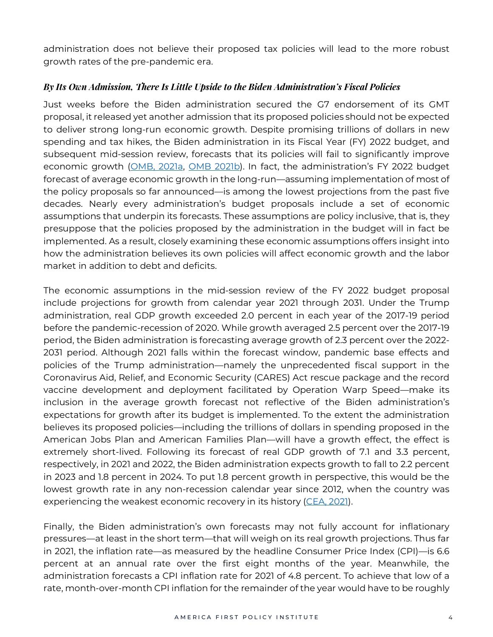administration does not believe their proposed tax policies will lead to the more robust growth rates of the pre-pandemic era.

#### *By Its Own Admission, There Is Little Upside to the Biden Administration's Fiscal Policies*

Just weeks before the Biden administration secured the G7 endorsement of its GMT proposal, it released yet another admission that its proposed policies should not be expected to deliver strong long-run economic growth. Despite promising trillions of dollars in new spending and tax hikes, the Biden administration in its Fiscal Year (FY) 2022 budget, and subsequent mid-session review, forecasts that its policies will fail to significantly improve economic growth [\(OMB,](https://www.whitehouse.gov/wp-content/uploads/2021/05/budget_fy22.pdf) 2021a, OMB [2021b\)](https://www.whitehouse.gov/wp-content/uploads/2021/08/msr_fy22.pdf). In fact, the administration's FY 2022 budget forecast of average economic growth in the long-run—assuming implementation of most of the policy proposals so far announced—is among the lowest projections from the past five decades. Nearly every administration's budget proposals include a set of economic assumptions that underpin its forecasts. These assumptions are policy inclusive, that is, they presuppose that the policies proposed by the administration in the budget will in fact be implemented. As a result, closely examining these economic assumptions offers insight into how the administration believes its own policies will affect economic growth and the labor market in addition to debt and deficits.

The economic assumptions in the mid-session review of the FY 2022 budget proposal include projections for growth from calendar year 2021 through 2031. Under the Trump administration, real GDP growth exceeded 2.0 percent in each year of the 2017-19 period before the pandemic-recession of 2020. While growth averaged 2.5 percent over the 2017-19 period, the Biden administration is forecasting average growth of 2.3 percent over the 2022- 2031 period. Although 2021 falls within the forecast window, pandemic base effects and policies of the Trump administration—namely the unprecedented fiscal support in the Coronavirus Aid, Relief, and Economic Security (CARES) Act rescue package and the record vaccine development and deployment facilitated by Operation Warp Speed—make its inclusion in the average growth forecast not reflective of the Biden administration's expectations for growth after its budget is implemented. To the extent the administration believes its proposed policies—including the trillions of dollars in spending proposed in the American Jobs Plan and American Families Plan—will have a growth effect, the effect is extremely short-lived. Following its forecast of real GDP growth of 7.1 and 3.3 percent, respectively, in 2021 and 2022, the Biden administration expects growth to fall to 2.2 percent in 2023 and 1.8 percent in 2024. To put 1.8 percent growth in perspective, this would be the lowest growth rate in any non-recession calendar year since 2012, when the country was experiencing the weakest economic recovery in its history [\(CEA,](https://trumpwhitehouse.archives.gov/wp-content/uploads/2021/01/Economic-Report-of-the-President-Jan2021.pdf) 2021).

Finally, the Biden administration's own forecasts may not fully account for inflationary pressures—at least in the short term—that will weigh on its real growth projections. Thus far in 2021, the inflation rate—as measured by the headline Consumer Price Index (CPI)—is 6.6 percent at an annual rate over the first eight months of the year. Meanwhile, the administration forecasts a CPI inflation rate for 2021 of 4.8 percent. To achieve that low of a rate, month-over-month CPI inflation for the remainder of the year would have to be roughly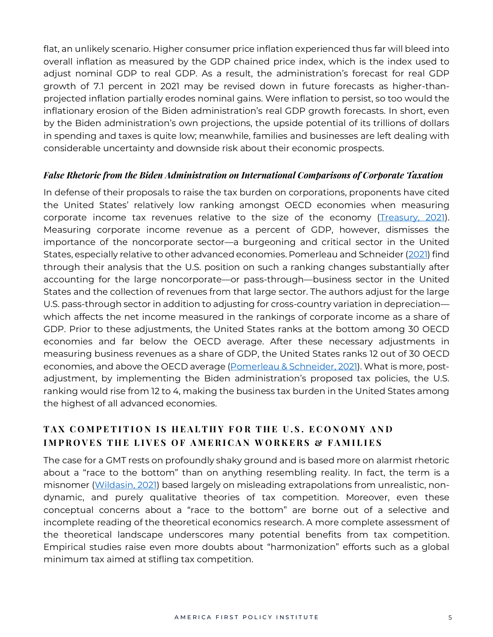flat, an unlikely scenario. Higher consumer price inflation experienced thus far will bleed into overall inflation as measured by the GDP chained price index, which is the index used to adjust nominal GDP to real GDP. As a result, the administration's forecast for real GDP growth of 7.1 percent in 2021 may be revised down in future forecasts as higher-thanprojected inflation partially erodes nominal gains. Were inflation to persist, so too would the inflationary erosion of the Biden administration's real GDP growth forecasts. In short, even by the Biden administration's own projections, the upside potential of its trillions of dollars in spending and taxes is quite low; meanwhile, families and businesses are left dealing with considerable uncertainty and downside risk about their economic prospects.

#### *False Rhetoric from the Biden Administration on International Comparisons of Corporate Taxation*

In defense of their proposals to raise the tax burden on corporations, proponents have cited the United States' relatively low ranking amongst OECD economies when measuring corporate income tax revenues relative to the size of the economy [\(Treasury,](https://home.treasury.gov/system/files/136/MadeInAmericaTaxPlan_Report.pdf) 2021). Measuring corporate income revenue as a percent of GDP, however, dismisses the importance of the noncorporate sector—a burgeoning and critical sector in the United States, especially relative to other advanced economies. Pomerleau and Schneider [\(2021\)](https://www.aei.org/op-eds/the-biden-administrations-corporate-tax-statistic-is-misleading/) find through their analysis that the U.S. position on such a ranking changes substantially after accounting for the large noncorporate—or pass-through—business sector in the United States and the collection of revenues from that large sector. The authors adjust for the large U.S. pass-through sector in addition to adjusting for cross-country variation in depreciation which affects the net income measured in the rankings of corporate income as a share of GDP. Prior to these adjustments, the United States ranks at the bottom among 30 OECD economies and far below the OECD average. After these necessary adjustments in measuring business revenues as a share of GDP, the United States ranks 12 out of 30 OECD economies, and above the OECD average [\(Pomerleau](https://www.aei.org/op-eds/the-biden-administrations-corporate-tax-statistic-is-misleading/) & Schneider, 2021). What is more, postadjustment, by implementing the Biden administration's proposed tax policies, the U.S. ranking would rise from 12 to 4, making the business tax burden in the United States among the highest of all advanced economies.

## **T A X C O M P E T I T I O N I S H E A L T H Y F O R T H E U . S . E C O N O M Y A N D I M P R O V E S T H E L I V E S O F A M E R I C A N W O R K E R S & F A M I L I E S**

The case for a GMT rests on profoundly shaky ground and is based more on alarmist rhetoric about a "race to the bottom" than on anything resembling reality. In fact, the term is a misnomer [\(Wildasin,](https://conference.nber.org/confer/2021/ITCs21/wildasin.pdf) 2021) based largely on misleading extrapolations from unrealistic, nondynamic, and purely qualitative theories of tax competition. Moreover, even these conceptual concerns about a "race to the bottom" are borne out of a selective and incomplete reading of the theoretical economics research. A more complete assessment of the theoretical landscape underscores many potential benefits from tax competition. Empirical studies raise even more doubts about "harmonization" efforts such as a global minimum tax aimed at stifling tax competition.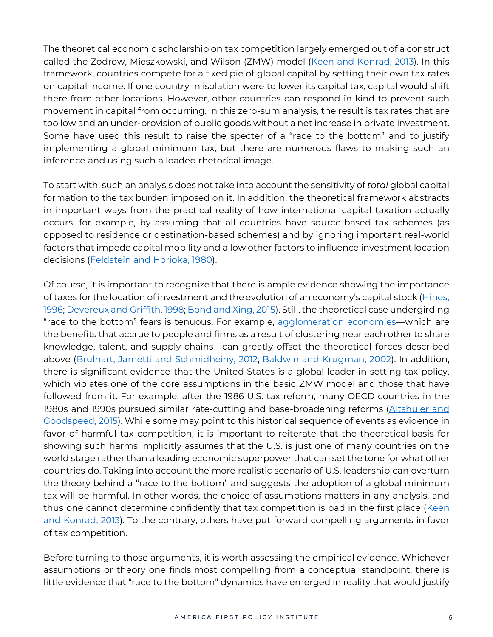The theoretical economic scholarship on tax competition largely emerged out of a construct called the Zodrow, Mieszkowski, and Wilson (ZMW) model (Keen and [Konrad,](https://www.sciencedirect.com/science/article/pii/B9780444537591000054) 2013). In this framework, countries compete for a fixed pie of global capital by setting their own tax rates on capital income. If one country in isolation were to lower its capital tax, capital would shift there from other locations. However, other countries can respond in kind to prevent such movement in capital from occurring. In this zero-sum analysis, the result is tax rates that are too low and an under-provision of public goods without a net increase in private investment. Some have used this result to raise the specter of a "race to the bottom" and to justify implementing a global minimum tax, but there are numerous flaws to making such an inference and using such a loaded rhetorical image.

To start with, such an analysis does not take into account the sensitivity of *total* global capital formation to the tax burden imposed on it. In addition, the theoretical framework abstracts in important ways from the practical reality of how international capital taxation actually occurs, for example, by assuming that all countries have source-based tax schemes (as opposed to residence or destination-based schemes) and by ignoring important real-world factors that impede capital mobility and allow other factors to influence investment location decisions [\(Feldstein](https://www.nber.org/system/files/working_papers/w0310/w0310.pdf) and Horioka, 1980).

Of course, it is important to recognize that there is ample evidence showing the importance of taxes for the location of investment and the evolution of an economy's capital stock [\(Hines,](https://www.jstor.org/stable/2118279?seq=1#metadata_info_tab_contents) [1996;](https://www.jstor.org/stable/2118279?seq=1#metadata_info_tab_contents) [Devereux](https://reader.elsevier.com/reader/sd/pii/S0047272798000140?token=5E17E3970B3F0830B52A0A2082B2F4A223C1A177F88895CBAA49DE4A6585D273D6602C6EECDE14DEA3F7260F969E837D&originRegion=us-east-1&originCreation=20210629210839) and Griffith, 1998; [Bond](https://reader.elsevier.com/reader/sd/pii/S004727271500136X?token=C1730FE7BA08859971B489217AEEFAB1D08044611823E9E0DFAE5E795899E551B5A4FABE9FC1599CA63CDCC6D8A20CF2&originRegion=us-east-1&originCreation=20210630000033) and Xing, 2015). Still, the theoretical case undergirding "race to the bottom" fears is tenuous. For example, [agglomeration](https://www.nber.org/system/files/chapters/c7977/c7977.pdf) economies—which are the benefits that accrue to people and firms as a result of clustering near each other to share knowledge, talent, and supply chains—can greatly offset the theoretical forces described above (Brulhart, Jametti and [Schmidheiny,](https://onlinelibrary.wiley.com/doi/full/10.1111/j.1468-0297.2012.02511.x) 2012; Baldwin and [Krugman,](https://www.nber.org/system/files/working_papers/w9290/w9290.pdf) 2002). In addition, there is significant evidence that the United States is a global leader in setting tax policy, which violates one of the core assumptions in the basic ZMW model and those that have followed from it. For example, after the 1986 U.S. tax reform, many OECD countries in the 1980s and 1990s pursued similar rate-cutting and base-broadening reforms [\(Altshuler](https://journals.sagepub.com/doi/pdf/10.1177/1091142114527781) and [Goodspeed,](https://journals.sagepub.com/doi/pdf/10.1177/1091142114527781) 2015). While some may point to this historical sequence of events as evidence in favor of harmful tax competition, it is important to reiterate that the theoretical basis for showing such harms implicitly assumes that the U.S. is just one of many countries on the world stage rather than a leading economic superpower that can set the tone for what other countries do. Taking into account the more realistic scenario of U.S. leadership can overturn the theory behind a "race to the bottom" and suggests the adoption of a global minimum tax will be harmful. In other words, the choice of assumptions matters in any analysis, and thus one cannot determine confidently that tax competition is bad in the first place [\(Keen](https://www.sciencedirect.com/science/article/pii/B9780444537591000054) and [Konrad,](https://www.sciencedirect.com/science/article/pii/B9780444537591000054) 2013). To the contrary, others have put forward compelling arguments in favor of tax competition.

Before turning to those arguments, it is worth assessing the empirical evidence. Whichever assumptions or theory one finds most compelling from a conceptual standpoint, there is little evidence that "race to the bottom" dynamics have emerged in reality that would justify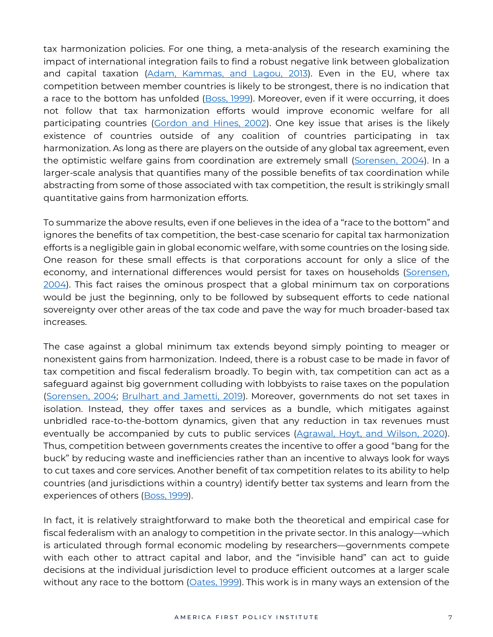tax harmonization policies. For one thing, a meta-analysis of the research examining the impact of international integration fails to find a robust negative link between globalization and capital taxation (Adam, [Kammas,](https://www.sciencedirect.com/science/article/pii/S0164070412000936) and Lagou, 2013). Even in the EU, where tax competition between member countries is likely to be strongest, there is no indication that a race to the bottom has unfolded [\(Boss,](https://www.econstor.eu/bitstream/10419/2268/1/270011943.pdf) 1999). Moreover, even if it were occurring, it does not follow that tax harmonization efforts would improve economic welfare for all participating countries [\(Gordon](https://www.nber.org/system/files/working_papers/w8854/w8854.pdf) and Hines, 2002). One key issue that arises is the likely existence of countries outside of any coalition of countries participating in tax harmonization. As long as there are players on the outside of any global tax agreement, even the optimistic welfare gains from coordination are extremely small [\(Sorensen,](https://reader.elsevier.com/reader/sd/pii/S0047272703000628?token=278AFD93975541DB31C8E610ABB414916E4928AB50A052D483D56A0B44A415A9161743CD1AD8EC536C923BA41463F905&originRegion=us-east-1&originCreation=20210629215621) 2004). In a larger-scale analysis that quantifies many of the possible benefits of tax coordination while abstracting from some of those associated with tax competition, the result is strikingly small quantitative gains from harmonization efforts.

To summarize the above results, even if one believes in the idea of a "race to the bottom" and ignores the benefits of tax competition, the best-case scenario for capital tax harmonization efforts is a negligible gain in global economic welfare, with some countries on the losing side. One reason for these small effects is that corporations account for only a slice of the economy, and international differences would persist for taxes on households [\(Sorensen,](https://link.springer.com/content/pdf/10.1023/B:ITAX.0000004778.63592.96.pdf) [2004\)](https://link.springer.com/content/pdf/10.1023/B:ITAX.0000004778.63592.96.pdf). This fact raises the ominous prospect that a global minimum tax on corporations would be just the beginning, only to be followed by subsequent efforts to cede national sovereignty over other areas of the tax code and pave the way for much broader-based tax increases.

The case against a global minimum tax extends beyond simply pointing to meager or nonexistent gains from harmonization. Indeed, there is a robust case to be made in favor of tax competition and fiscal federalism broadly. To begin with, tax competition can act as a safeguard against big government colluding with lobbyists to raise taxes on the population [\(Sorensen,](https://link.springer.com/content/pdf/10.1023/B:ITAX.0000004778.63592.96.pdf) 2004; [Brulhart](https://www.sciencedirect.com/science/article/pii/S0047272719300891#:~:text=According%2520to%2520Proposition%25203%252C%2520if,improves%2520welfare%2520in%2520Leviathan%2520states.) and Jametti, 2019). Moreover, governments do not set taxes in isolation. Instead, they offer taxes and services as a bundle, which mitigates against unbridled race-to-the-bottom dynamics, given that any reduction in tax revenues must eventually be accompanied by cuts to public services [\(Agrawal,](https://papers.ssrn.com/sol3/papers.cfm?abstract_id=3545542) Hoyt, and Wilson, 2020). Thus, competition between governments creates the incentive to offer a good "bang for the buck" by reducing waste and inefficiencies rather than an incentive to always look for ways to cut taxes and core services. Another benefit of tax competition relates to its ability to help countries (and jurisdictions within a country) identify better tax systems and learn from the experiences of others [\(Boss,](https://www.econstor.eu/bitstream/10419/2268/1/270011943.pdf) 1999).

In fact, it is relatively straightforward to make both the theoretical and empirical case for fiscal federalism with an analogy to competition in the private sector. In this analogy—which is articulated through formal economic modeling by researchers—governments compete with each other to attract capital and labor, and the "invisible hand" can act to guide decisions at the individual jurisdiction level to produce efficient outcomes at a larger scale without any race to the bottom [\(Oates,](https://pubs.aeaweb.org/doi/pdfplus/10.1257/jel.37.3.1120) 1999). This work is in many ways an extension of the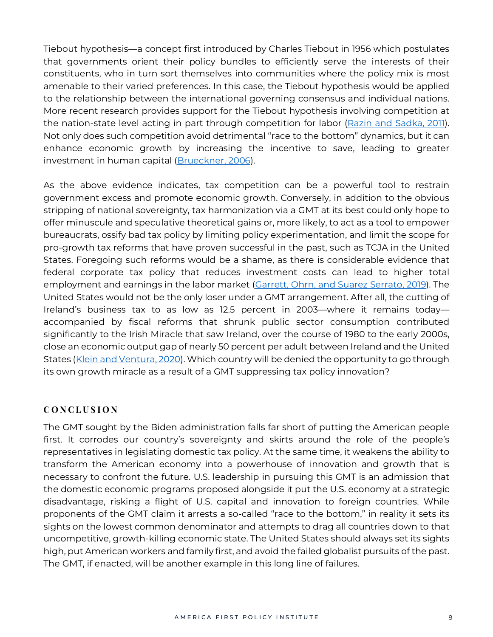Tiebout hypothesis—a concept first introduced by Charles Tiebout in 1956 which postulates that governments orient their policy bundles to efficiently serve the interests of their constituents, who in turn sort themselves into communities where the policy mix is most amenable to their varied preferences. In this case, the Tiebout hypothesis would be applied to the relationship between the international governing consensus and individual nations. More recent research provides support for the Tiebout hypothesis involving competition at the nation-state level acting in part through competition for labor (Razin and [Sadka,](https://www.nber.org/system/files/working_papers/w16670/w16670.pdf) 2011). Not only does such competition avoid detrimental "race to the bottom" dynamics, but it can enhance economic growth by increasing the incentive to save, leading to greater investment in human capital [\(Brueckner,](https://www.sciencedirect.com/science/article/pii/S0047272706000624) 2006).

As the above evidence indicates, tax competition can be a powerful tool to restrain government excess and promote economic growth. Conversely, in addition to the obvious stripping of national sovereignty, tax harmonization via a GMT at its best could only hope to offer minuscule and speculative theoretical gains or, more likely, to act as a tool to empower bureaucrats, ossify bad tax policy by limiting policy experimentation, and limit the scope for pro-growth tax reforms that have proven successful in the past, such as TCJA in the United States. Foregoing such reforms would be a shame, as there is considerable evidence that federal corporate tax policy that reduces investment costs can lead to higher total employment and earnings in the labor market [\(Garrett,](https://jcsuarez.com/Files/GOSS_BONUS.pdf) Ohrn, and Suarez Serrato, 2019). The United States would not be the only loser under a GMT arrangement. After all, the cutting of Ireland's business tax to as low as 12.5 percent in 2003—where it remains today accompanied by fiscal reforms that shrunk public sector consumption contributed significantly to the Irish Miracle that saw Ireland, over the course of 1980 to the early 2000s, close an economic output gap of nearly 50 percent per adult between Ireland and the United States (Klein and [Ventura,](http://www.gustavoventura.com/uploads/3/4/2/2/34223650/irelandpaper-kleinventura.pdf) 2020). Which country will be denied the opportunity to go through its own growth miracle as a result of a GMT suppressing tax policy innovation?

## **C O N C L U S I O N**

The GMT sought by the Biden administration falls far short of putting the American people first. It corrodes our country's sovereignty and skirts around the role of the people's representatives in legislating domestic tax policy. At the same time, it weakens the ability to transform the American economy into a powerhouse of innovation and growth that is necessary to confront the future. U.S. leadership in pursuing this GMT is an admission that the domestic economic programs proposed alongside it put the U.S. economy at a strategic disadvantage, risking a flight of U.S. capital and innovation to foreign countries. While proponents of the GMT claim it arrests a so-called "race to the bottom," in reality it sets its sights on the lowest common denominator and attempts to drag all countries down to that uncompetitive, growth-killing economic state. The United States should always set its sights high, put American workers and family first, and avoid the failed globalist pursuits of the past. The GMT, if enacted, will be another example in this long line of failures.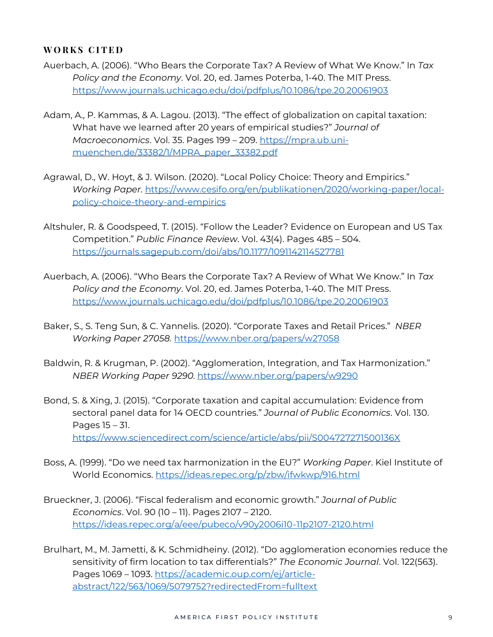#### **W O R K S C I T E D**

- Auerbach, A. (2006). "Who Bears the Corporate Tax? A Review of What We Know." In *Tax Policy and the Economy*. Vol. 20, ed. James Poterba, 1-40. The MIT Press. <https://www.journals.uchicago.edu/doi/pdfplus/10.1086/tpe.20.20061903>
- Adam, A., P. Kammas, & A. Lagou. (2013). "The effect of globalization on capital taxation: What have we learned after 20 years of empirical studies?" *Journal of Macroeconomics*. Vol. 35. Pages 199 – 209. [https://mpra.ub.uni](https://mpra.ub.uni-muenchen.de/33382/1/MPRA_paper_33382.pdf)[muenchen.de/33382/1/MPRA\\_paper\\_33382.pdf](https://mpra.ub.uni-muenchen.de/33382/1/MPRA_paper_33382.pdf)
- Agrawal, D., W. Hoyt, & J. Wilson. (2020). "Local Policy Choice: Theory and Empirics." *Working Paper.* [https://www.cesifo.org/en/publikationen/2020/working-paper/local](https://www.cesifo.org/en/publikationen/2020/working-paper/local-policy-choice-theory-and-empirics)[policy-choice-theory-and-empirics](https://www.cesifo.org/en/publikationen/2020/working-paper/local-policy-choice-theory-and-empirics)
- Altshuler, R. & Goodspeed, T. (2015). "Follow the Leader? Evidence on European and US Tax Competition." *Public Finance Review*. Vol. 43(4). Pages 485 – 504. <https://journals.sagepub.com/doi/abs/10.1177/1091142114527781>
- Auerbach, A. (2006). "Who Bears the Corporate Tax? A Review of What We Know." In *Tax Policy and the Economy*. Vol. 20, ed. James Poterba, 1-40. The MIT Press. <https://www.journals.uchicago.edu/doi/pdfplus/10.1086/tpe.20.20061903>
- Baker, S., S. Teng Sun, & C. Yannelis. (2020). "Corporate Taxes and Retail Prices." *NBER Working Paper 27058.* <https://www.nber.org/papers/w27058>
- Baldwin, R. & Krugman, P. (2002). "Agglomeration, Integration, and Tax Harmonization." *NBER Working Paper 9290.* <https://www.nber.org/papers/w9290>
- Bond, S. & Xing, J. (2015). "Corporate taxation and capital accumulation: Evidence from sectoral panel data for 14 OECD countries." *Journal of Public Economics*. Vol. 130. Pages 15 – 31. <https://www.sciencedirect.com/science/article/abs/pii/S004727271500136X>
- Boss, A. (1999). "Do we need tax harmonization in the EU?" *Working Paper*. Kiel Institute of World Economics. <https://ideas.repec.org/p/zbw/ifwkwp/916.html>
- Brueckner, J. (2006). "Fiscal federalism and economic growth." *Journal of Public Economics*. Vol. 90 (10 – 11). Pages 2107 – 2120. <https://ideas.repec.org/a/eee/pubeco/v90y2006i10-11p2107-2120.html>
- Brulhart, M., M. Jametti, & K. Schmidheiny. (2012). "Do agglomeration economies reduce the sensitivity of firm location to tax differentials?" *The Economic Journal*. Vol. 122(563). Pages 1069 – 1093. [https://academic.oup.com/ej/article](https://academic.oup.com/ej/article-abstract/122/563/1069/5079752?redirectedFrom=fulltext)[abstract/122/563/1069/5079752?redirectedFrom=fulltext](https://academic.oup.com/ej/article-abstract/122/563/1069/5079752?redirectedFrom=fulltext)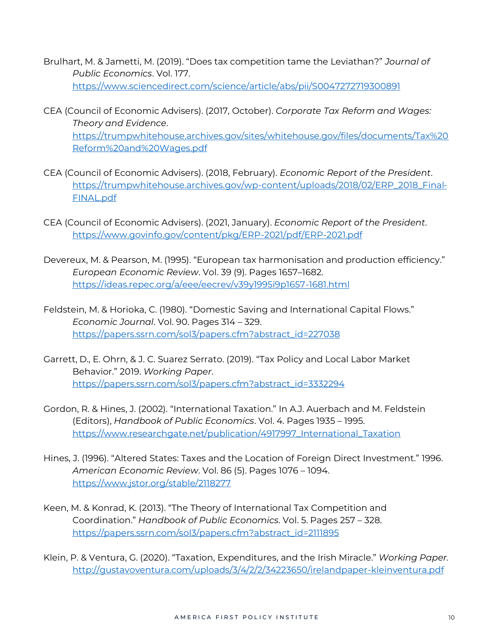- Brulhart, M. & Jametti, M. (2019). "Does tax competition tame the Leviathan?" *Journal of Public Economics*. Vol. 177. <https://www.sciencedirect.com/science/article/abs/pii/S0047272719300891>
- CEA (Council of Economic Advisers). (2017, October). *Corporate Tax Reform and Wages: Theory and Evidence*. [https://trumpwhitehouse.archives.gov/sites/whitehouse.gov/files/documents/Tax%20](https://trumpwhitehouse.archives.gov/sites/whitehouse.gov/files/documents/Tax%2520Reform%2520and%2520Wages.pdf) [Reform%20and%20Wages.pdf](https://trumpwhitehouse.archives.gov/sites/whitehouse.gov/files/documents/Tax%2520Reform%2520and%2520Wages.pdf)
- CEA (Council of Economic Advisers). (2018, February). *Economic Report of the President*. [https://trumpwhitehouse.archives.gov/wp-content/uploads/2018/02/ERP\\_2018\\_Final-](https://trumpwhitehouse.archives.gov/wp-content/uploads/2018/02/ERP_2018_Final-FINAL.pdf)[FINAL.pdf](https://trumpwhitehouse.archives.gov/wp-content/uploads/2018/02/ERP_2018_Final-FINAL.pdf)
- CEA (Council of Economic Advisers). (2021, January). *Economic Report of the President*. <https://www.govinfo.gov/content/pkg/ERP-2021/pdf/ERP-2021.pdf>
- Devereux, M. & Pearson, M. (1995). "European tax harmonisation and production efficiency." *European Economic Review*. Vol. 39 (9). Pages 1657–1682. <https://ideas.repec.org/a/eee/eecrev/v39y1995i9p1657-1681.html>
- Feldstein, M. & Horioka, C. (1980). "Domestic Saving and International Capital Flows." *Economic Journal*. Vol. 90. Pages 314 – 329. [https://papers.ssrn.com/sol3/papers.cfm?abstract\\_id=227038](https://papers.ssrn.com/sol3/papers.cfm?abstract_id=227038)
- Garrett, D., E. Ohrn, & J. C. Suarez Serrato. (2019). "Tax Policy and Local Labor Market Behavior." 2019. *Working Paper*. [https://papers.ssrn.com/sol3/papers.cfm?abstract\\_id=3332294](https://papers.ssrn.com/sol3/papers.cfm?abstract_id=3332294)
- Gordon, R. & Hines, J. (2002). "International Taxation." In A.J. Auerbach and M. Feldstein (Editors), *Handbook of Public Economics*. Vol. 4. Pages 1935 – 1995. [https://www.researchgate.net/publication/4917997\\_International\\_Taxation](https://www.researchgate.net/publication/4917997_International_Taxation)
- Hines, J. (1996). "Altered States: Taxes and the Location of Foreign Direct Investment." 1996. *American Economic Review*. Vol. 86 (5). Pages 1076 – 1094. <https://www.jstor.org/stable/2118277>
- Keen, M. & Konrad, K. (2013). "The Theory of International Tax Competition and Coordination." *Handbook of Public Economics*. Vol. 5. Pages 257 – 328. [https://papers.ssrn.com/sol3/papers.cfm?abstract\\_id=2111895](https://papers.ssrn.com/sol3/papers.cfm?abstract_id=2111895)
- Klein, P. & Ventura, G. (2020). "Taxation, Expenditures, and the Irish Miracle." *Working Paper.* <http://gustavoventura.com/uploads/3/4/2/2/34223650/irelandpaper-kleinventura.pdf>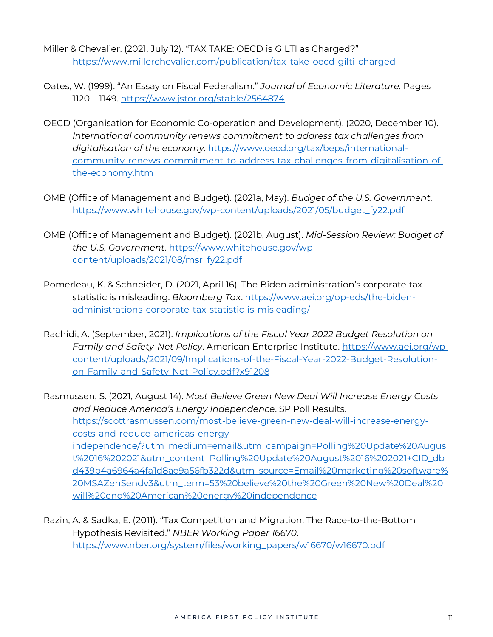- Miller & Chevalier. (2021, July 12). "TAX TAKE: OECD is GILTI as Charged?" <https://www.millerchevalier.com/publication/tax-take-oecd-gilti-charged>
- Oates, W. (1999). "An Essay on Fiscal Federalism." *Journal of Economic Literature.* Pages 1120 – 1149. <https://www.jstor.org/stable/2564874>
- OECD (Organisation for Economic Co-operation and Development). (2020, December 10). *International community renews commitment to address tax challenges from digitalisation of the economy*. [https://www.oecd.org/tax/beps/international](https://www.oecd.org/tax/beps/international-community-renews-commitment-to-address-tax-challenges-from-digitalisation-of-the-economy.htm)[community-renews-commitment-to-address-tax-challenges-from-digitalisation-of](https://www.oecd.org/tax/beps/international-community-renews-commitment-to-address-tax-challenges-from-digitalisation-of-the-economy.htm)[the-economy.htm](https://www.oecd.org/tax/beps/international-community-renews-commitment-to-address-tax-challenges-from-digitalisation-of-the-economy.htm)
- OMB (Office of Management and Budget). (2021a, May). *Budget of the U.S. Government*. [https://www.whitehouse.gov/wp-content/uploads/2021/05/budget\\_fy22.pdf](https://www.whitehouse.gov/wp-content/uploads/2021/05/budget_fy22.pdf)
- OMB (Office of Management and Budget). (2021b, August). *Mid-Session Review: Budget of the U.S. Government*. [https://www.whitehouse.gov/wp](https://www.whitehouse.gov/wp-content/uploads/2021/08/msr_fy22.pdf)[content/uploads/2021/08/msr\\_fy22.pdf](https://www.whitehouse.gov/wp-content/uploads/2021/08/msr_fy22.pdf)
- Pomerleau, K. & Schneider, D. (2021, April 16). The Biden administration's corporate tax statistic is misleading. *Bloomberg Tax*. [https://www.aei.org/op-eds/the-biden](https://www.aei.org/op-eds/the-biden-administrations-corporate-tax-statistic-is-misleading/)[administrations-corporate-tax-statistic-is-misleading/](https://www.aei.org/op-eds/the-biden-administrations-corporate-tax-statistic-is-misleading/)
- Rachidi, A. (September, 2021). *Implications of the Fiscal Year 2022 Budget Resolution on Family and Safety-Net Policy*. American Enterprise Institute. [https://www.aei.org/wp](https://www.aei.org/wp-content/uploads/2021/09/Implications-of-the-Fiscal-Year-2022-Budget-Resolution-on-Family-and-Safety-Net-Policy.pdf?x91208)[content/uploads/2021/09/Implications-of-the-Fiscal-Year-2022-Budget-Resolution](https://www.aei.org/wp-content/uploads/2021/09/Implications-of-the-Fiscal-Year-2022-Budget-Resolution-on-Family-and-Safety-Net-Policy.pdf?x91208)[on-Family-and-Safety-Net-Policy.pdf?x91208](https://www.aei.org/wp-content/uploads/2021/09/Implications-of-the-Fiscal-Year-2022-Budget-Resolution-on-Family-and-Safety-Net-Policy.pdf?x91208)

Rasmussen, S. (2021, August 14). *Most Believe Green New Deal Will Increase Energy Costs and Reduce America's Energy Independence*. SP Poll Results. [https://scottrasmussen.com/most-believe-green-new-deal-will-increase-energy](https://scottrasmussen.com/most-believe-green-new-deal-will-increase-energy-costs-and-reduce-americas-energy-independence/?utm_medium=email&utm_campaign=Polling%20Update%20August%2016%202021&utm_content=Polling%20Update%20August%2016%202021+CID_dbd439b4a6964a4fa1d8ae9a56fb322d&utm_source=Email%20marketing%20software%20MSAZenSendv3&utm_term=53%20believe%20the%20Green%20New%20Deal%20will%20end%20American%20energy%20independence)[costs-and-reduce-americas-energy](https://scottrasmussen.com/most-believe-green-new-deal-will-increase-energy-costs-and-reduce-americas-energy-independence/?utm_medium=email&utm_campaign=Polling%20Update%20August%2016%202021&utm_content=Polling%20Update%20August%2016%202021+CID_dbd439b4a6964a4fa1d8ae9a56fb322d&utm_source=Email%20marketing%20software%20MSAZenSendv3&utm_term=53%20believe%20the%20Green%20New%20Deal%20will%20end%20American%20energy%20independence)[independence/?utm\\_medium=email&utm\\_campaign=Polling%20Update%20Augus](https://scottrasmussen.com/most-believe-green-new-deal-will-increase-energy-costs-and-reduce-americas-energy-independence/?utm_medium=email&utm_campaign=Polling%20Update%20August%2016%202021&utm_content=Polling%20Update%20August%2016%202021+CID_dbd439b4a6964a4fa1d8ae9a56fb322d&utm_source=Email%20marketing%20software%20MSAZenSendv3&utm_term=53%20believe%20the%20Green%20New%20Deal%20will%20end%20American%20energy%20independence) [t%2016%202021&utm\\_content=Polling%20Update%20August%2016%202021+CID\\_db](https://scottrasmussen.com/most-believe-green-new-deal-will-increase-energy-costs-and-reduce-americas-energy-independence/?utm_medium=email&utm_campaign=Polling%20Update%20August%2016%202021&utm_content=Polling%20Update%20August%2016%202021+CID_dbd439b4a6964a4fa1d8ae9a56fb322d&utm_source=Email%20marketing%20software%20MSAZenSendv3&utm_term=53%20believe%20the%20Green%20New%20Deal%20will%20end%20American%20energy%20independence) [d439b4a6964a4fa1d8ae9a56fb322d&utm\\_source=Email%20marketing%20software%](https://scottrasmussen.com/most-believe-green-new-deal-will-increase-energy-costs-and-reduce-americas-energy-independence/?utm_medium=email&utm_campaign=Polling%20Update%20August%2016%202021&utm_content=Polling%20Update%20August%2016%202021+CID_dbd439b4a6964a4fa1d8ae9a56fb322d&utm_source=Email%20marketing%20software%20MSAZenSendv3&utm_term=53%20believe%20the%20Green%20New%20Deal%20will%20end%20American%20energy%20independence) [20MSAZenSendv3&utm\\_term=53%20believe%20the%20Green%20New%20Deal%20](https://scottrasmussen.com/most-believe-green-new-deal-will-increase-energy-costs-and-reduce-americas-energy-independence/?utm_medium=email&utm_campaign=Polling%20Update%20August%2016%202021&utm_content=Polling%20Update%20August%2016%202021+CID_dbd439b4a6964a4fa1d8ae9a56fb322d&utm_source=Email%20marketing%20software%20MSAZenSendv3&utm_term=53%20believe%20the%20Green%20New%20Deal%20will%20end%20American%20energy%20independence) [will%20end%20American%20energy%20independence](https://scottrasmussen.com/most-believe-green-new-deal-will-increase-energy-costs-and-reduce-americas-energy-independence/?utm_medium=email&utm_campaign=Polling%20Update%20August%2016%202021&utm_content=Polling%20Update%20August%2016%202021+CID_dbd439b4a6964a4fa1d8ae9a56fb322d&utm_source=Email%20marketing%20software%20MSAZenSendv3&utm_term=53%20believe%20the%20Green%20New%20Deal%20will%20end%20American%20energy%20independence)

Razin, A. & Sadka, E. (2011). "Tax Competition and Migration: The Race-to-the-Bottom Hypothesis Revisited." *NBER Working Paper 16670*. [https://www.nber.org/system/files/working\\_papers/w16670/w16670.pdf](https://www.nber.org/system/files/working_papers/w16670/w16670.pdf)